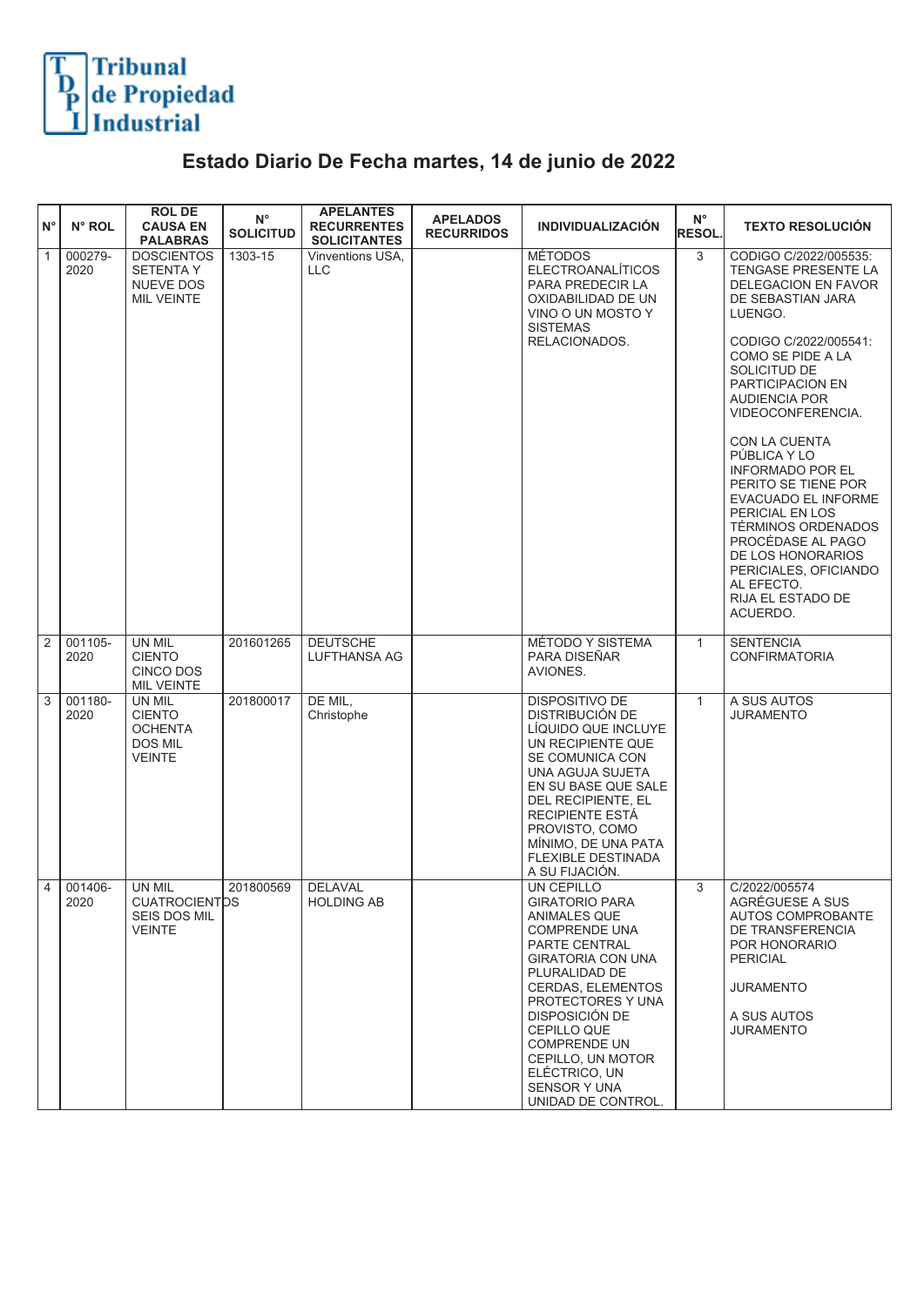

## **Estado Diario De Fecha martes, 14 de junio de 2022**

| $N^{\circ}$    | N° ROL          | <b>ROLDE</b><br><b>CAUSA EN</b><br><b>PALABRAS</b>                     | $N^{\circ}$<br><b>SOLICITUD</b> | <b>APELANTES</b><br><b>RECURRENTES</b><br><b>SOLICITANTES</b> | <b>APELADOS</b><br><b>RECURRIDOS</b> | <b>INDIVIDUALIZACIÓN</b>                                                                                                                                                                                                                                                                                                                     | $N^{\circ}$<br><b>RESOL.</b> | <b>TEXTO RESOLUCIÓN</b>                                                                                                                                                                                                                                                                                                                                                                                                                                                                                               |
|----------------|-----------------|------------------------------------------------------------------------|---------------------------------|---------------------------------------------------------------|--------------------------------------|----------------------------------------------------------------------------------------------------------------------------------------------------------------------------------------------------------------------------------------------------------------------------------------------------------------------------------------------|------------------------------|-----------------------------------------------------------------------------------------------------------------------------------------------------------------------------------------------------------------------------------------------------------------------------------------------------------------------------------------------------------------------------------------------------------------------------------------------------------------------------------------------------------------------|
| $\mathbf{1}$   | 000279-<br>2020 | <b>DOSCIENTOS</b><br><b>SETENTAY</b><br>NUEVE DOS<br><b>MIL VEINTE</b> | 1303-15                         | <b>Vinventions USA.</b><br><b>LLC</b>                         |                                      | <b>MÉTODOS</b><br><b>ELECTROANALÍTICOS</b><br>PARA PREDECIR LA<br>OXIDABILIDAD DE UN<br>VINO O UN MOSTO Y<br><b>SISTEMAS</b><br>RELACIONADOS.                                                                                                                                                                                                | 3                            | CODIGO C/2022/005535:<br><b>TENGASE PRESENTE LA</b><br>DELEGACION EN FAVOR<br>DE SEBASTIAN JARA<br>LUENGO.<br>CODIGO C/2022/005541:<br>COMO SE PIDE A LA<br>SOLICITUD DE<br>PARTICIPACION EN<br><b>AUDIENCIA POR</b><br>VIDEOCONFERENCIA.<br>CON LA CUENTA<br>PÚBLICA Y LO<br><b>INFORMADO POR EL</b><br>PERITO SE TIENE POR<br>EVACUADO EL INFORME<br>PERICIAL EN LOS<br><b>TÉRMINOS ORDENADOS</b><br>PROCÉDASE AL PAGO<br>DE LOS HONORARIOS<br>PERICIALES, OFICIANDO<br>AL EFECTO.<br>RIJA EL ESTADO DE<br>ACUERDO. |
| 2              | 001105-<br>2020 | UN MIL<br><b>CIENTO</b><br>CINCO DOS<br><b>MIL VEINTE</b>              | 201601265                       | <b>DEUTSCHE</b><br><b>LUFTHANSA AG</b>                        |                                      | MÉTODO Y SISTEMA<br>PARA DISEÑAR<br>AVIONES.                                                                                                                                                                                                                                                                                                 | $\mathbf{1}$                 | <b>SENTENCIA</b><br><b>CONFIRMATORIA</b>                                                                                                                                                                                                                                                                                                                                                                                                                                                                              |
| 3              | 001180-<br>2020 | UN MIL<br><b>CIENTO</b><br><b>OCHENTA</b><br>DOS MIL<br><b>VEINTE</b>  | 201800017                       | DE MIL,<br>Christophe                                         |                                      | <b>DISPOSITIVO DE</b><br><b>DISTRIBUCIÓN DE</b><br>LÍQUIDO QUE INCLUYE<br>UN RECIPIENTE QUE<br>SE COMUNICA CON<br>UNA AGUJA SUJETA<br>EN SU BASE QUE SALE<br>DEL RECIPIENTE, EL<br><b>RECIPIENTE ESTA</b><br>PROVISTO, COMO<br>MINIMO, DE UNA PATA<br><b>FLEXIBLE DESTINADA</b><br>A SU FIJACIÓN.                                            | $\mathbf{1}$                 | A SUS AUTOS<br><b>JURAMENTO</b>                                                                                                                                                                                                                                                                                                                                                                                                                                                                                       |
| $\overline{4}$ | 001406-<br>2020 | UN MIL<br><b>CUATROCIENTOS</b><br><b>SEIS DOS MIL</b><br><b>VEINTE</b> | 201800569                       | <b>DELAVAL</b><br><b>HOLDING AB</b>                           |                                      | UN CEPILLO<br><b>GIRATORIO PARA</b><br>ANIMALES QUE<br><b>COMPRENDE UNA</b><br>PARTE CENTRAL<br><b>GIRATORIA CON UNA</b><br>PLURALIDAD DE<br><b>CERDAS, ELEMENTOS</b><br>PROTECTORES Y UNA<br><b>DISPOSICIÓN DE</b><br>CEPILLO QUE<br><b>COMPRENDE UN</b><br>CEPILLO, UN MOTOR<br>ELÉCTRICO, UN<br><b>SENSOR Y UNA</b><br>UNIDAD DE CONTROL. | 3                            | C/2022/005574<br>AGRÉGUESE A SUS<br>AUTOS COMPROBANTE<br>DE TRANSFERENCIA<br>POR HONORARIO<br><b>PERICIAL</b><br><b>JURAMENTO</b><br>A SUS AUTOS<br><b>JURAMENTO</b>                                                                                                                                                                                                                                                                                                                                                  |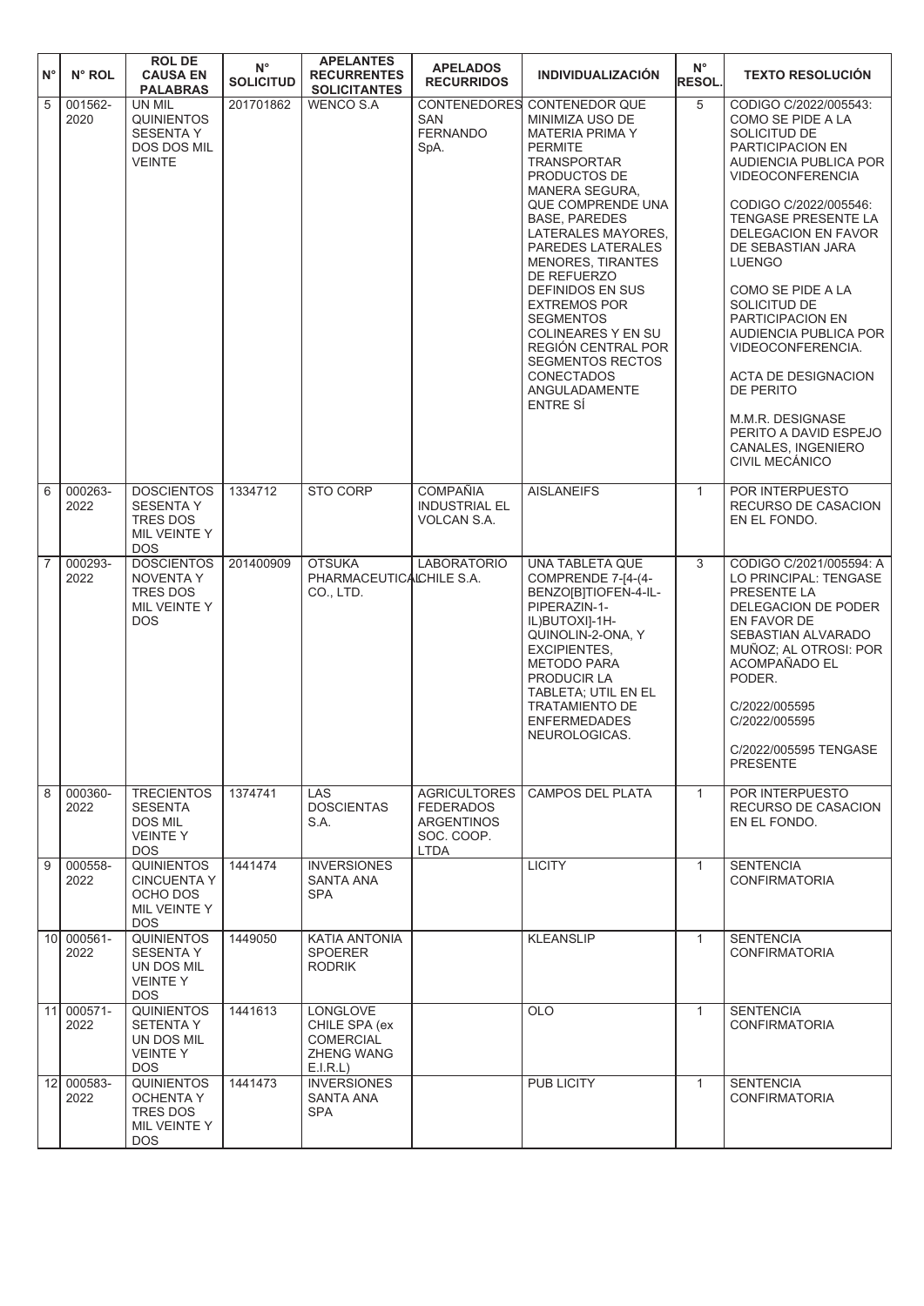| ١N°            | N° ROL             | <b>ROLDE</b><br><b>CAUSA EN</b><br><b>PALABRAS</b>                                     | $\mathsf{N}^\circ$<br><b>SOLICITUD</b> | <b>APELANTES</b><br><b>RECURRENTES</b><br><b>SOLICITANTES</b>                        | <b>APELADOS</b><br><b>RECURRIDOS</b>                                                      | <b>INDIVIDUALIZACIÓN</b>                                                                                                                                                                                                                                                                                                                                                                                                                                                              | $N^{\circ}$<br><b>RESOL.</b> | <b>TEXTO RESOLUCIÓN</b>                                                                                                                                                                                                                                                                                                                                                                                                                                                                |
|----------------|--------------------|----------------------------------------------------------------------------------------|----------------------------------------|--------------------------------------------------------------------------------------|-------------------------------------------------------------------------------------------|---------------------------------------------------------------------------------------------------------------------------------------------------------------------------------------------------------------------------------------------------------------------------------------------------------------------------------------------------------------------------------------------------------------------------------------------------------------------------------------|------------------------------|----------------------------------------------------------------------------------------------------------------------------------------------------------------------------------------------------------------------------------------------------------------------------------------------------------------------------------------------------------------------------------------------------------------------------------------------------------------------------------------|
| $\overline{5}$ | 001562-<br>2020    | UN MIL<br><b>QUINIENTOS</b><br><b>SESENTA Y</b><br><b>DOS DOS MIL</b><br><b>VEINTE</b> | 201701862                              | <b>WENCO S.A</b>                                                                     | <b>CONTENEDORES</b><br><b>SAN</b><br><b>FERNANDO</b><br>SpA.                              | <b>CONTENEDOR QUE</b><br>MINIMIZA USO DE<br><b>MATERIA PRIMA Y</b><br><b>PERMITE</b><br><b>TRANSPORTAR</b><br>PRODUCTOS DE<br>MANERA SEGURA.<br>QUE COMPRENDE UNA<br><b>BASE, PAREDES</b><br>LATERALES MAYORES,<br>PAREDES LATERALES<br><b>MENORES, TIRANTES</b><br>DE REFUERZO<br>DEFINIDOS EN SUS<br><b>EXTREMOS POR</b><br><b>SEGMENTOS</b><br><b>COLINEARES Y EN SU</b><br><b>REGIÓN CENTRAL POR</b><br><b>SEGMENTOS RECTOS</b><br><b>CONECTADOS</b><br>ANGULADAMENTE<br>ENTRE SI | 5                            | CODIGO C/2022/005543:<br>COMO SE PIDE A LA<br>SOLICITUD DE<br>PARTICIPACION EN<br>AUDIENCIA PUBLICA POR<br><b>VIDEOCONFERENCIA</b><br>CODIGO C/2022/005546:<br>TENGASE PRESENTE LA<br>DELEGACION EN FAVOR<br>DE SEBASTIAN JARA<br><b>LUENGO</b><br>COMO SE PIDE A LA<br>SOLICITUD DE<br>PARTICIPACION EN<br>AUDIENCIA PUBLICA POR<br>VIDEOCONFERENCIA.<br>ACTA DE DESIGNACION<br><b>DE PERITO</b><br>M.M.R. DESIGNASE<br>PERITO A DAVID ESPEJO<br>CANALES, INGENIERO<br>CIVIL MECÁNICO |
| 6              | 000263-<br>2022    | <b>DOSCIENTOS</b><br><b>SESENTA Y</b><br>TRES DOS<br>MIL VEINTE Y<br><b>DOS</b>        | 1334712                                | STO CORP                                                                             | <b>COMPAÑIA</b><br><b>INDUSTRIAL EL</b><br>VOLCAN S.A.                                    | <b>AISLANEIFS</b>                                                                                                                                                                                                                                                                                                                                                                                                                                                                     | $\mathbf{1}$                 | POR INTERPUESTO<br>RECURSO DE CASACION<br>EN EL FONDO.                                                                                                                                                                                                                                                                                                                                                                                                                                 |
| 17             | 000293-<br>2022    | <b>DOSCIENTOS</b><br>NOVENTA Y<br>TRES DOS<br>MIL VEINTE Y<br><b>DOS</b>               | 201400909                              | <b>OTSUKA</b><br>PHARMACEUTICALCHILE S.A.<br>CO., LTD.                               | <b>LABORATORIO</b>                                                                        | UNA TABLETA QUE<br>COMPRENDE 7-[4-(4-<br>BENZO[B]TIOFEN-4-IL-<br>PIPERAZIN-1-<br>IL)BUTOXI]-1H-<br>QUINOLIN-2-ONA, Y<br><b>EXCIPIENTES,</b><br><b>METODO PARA</b><br>PRODUCIR LA<br>TABLETA; UTIL EN EL<br><b>TRATAMIENTO DE</b><br><b>ENFERMEDADES</b><br>NEUROLOGICAS.                                                                                                                                                                                                              | 3                            | CODIGO C/2021/005594: A<br>LO PRINCIPAL: TENGASE<br>PRESENTE LA<br>DELEGACION DE PODER<br>EN FAVOR DE<br>SEBASTIAN ALVARADO<br>MUÑOZ; AL OTROSI: POR<br>ACOMPAÑADO EL<br>PODER.<br>C/2022/005595<br>C/2022/005595<br>C/2022/005595 TENGASE<br><b>PRESENTE</b>                                                                                                                                                                                                                          |
| $\overline{8}$ | 000360-<br>2022    | <b>TRECIENTOS</b><br><b>SESENTA</b><br>DOS MIL<br><b>VEINTEY</b><br><b>DOS</b>         | 1374741                                | <b>LAS</b><br><b>DOSCIENTAS</b><br>S.A.                                              | <b>AGRICULTORES</b><br><b>FEDERADOS</b><br><b>ARGENTINOS</b><br>SOC. COOP.<br><b>LTDA</b> | <b>CAMPOS DEL PLATA</b>                                                                                                                                                                                                                                                                                                                                                                                                                                                               | $\mathbf{1}$                 | POR INTERPUESTO<br>RECURSO DE CASACION<br>EN EL FONDO.                                                                                                                                                                                                                                                                                                                                                                                                                                 |
| $\sqrt{9}$     | 000558-<br>2022    | <b>QUINIENTOS</b><br><b>CINCUENTA Y</b><br>OCHO DOS<br>MIL VEINTE Y<br><b>DOS</b>      | 1441474                                | <b>INVERSIONES</b><br>SANTA ANA<br><b>SPA</b>                                        |                                                                                           | <b>LICITY</b>                                                                                                                                                                                                                                                                                                                                                                                                                                                                         | $\mathbf{1}$                 | <b>SENTENCIA</b><br><b>CONFIRMATORIA</b>                                                                                                                                                                                                                                                                                                                                                                                                                                               |
|                | 10 000561-<br>2022 | <b>QUINIENTOS</b><br><b>SESENTA Y</b><br>UN DOS MIL<br><b>VEINTEY</b><br><b>DOS</b>    | 1449050                                | <b>KATIA ANTONIA</b><br><b>SPOERER</b><br><b>RODRIK</b>                              |                                                                                           | <b>KLEANSLIP</b>                                                                                                                                                                                                                                                                                                                                                                                                                                                                      | $\mathbf{1}$                 | <b>SENTENCIA</b><br><b>CONFIRMATORIA</b>                                                                                                                                                                                                                                                                                                                                                                                                                                               |
|                | 11 000571-<br>2022 | <b>QUINIENTOS</b><br><b>SETENTA Y</b><br>UN DOS MIL<br><b>VEINTEY</b><br><b>DOS</b>    | 1441613                                | <b>LONGLOVE</b><br>CHILE SPA (ex<br><b>COMERCIAL</b><br><b>ZHENG WANG</b><br>E.I.R.L |                                                                                           | <b>OLO</b>                                                                                                                                                                                                                                                                                                                                                                                                                                                                            | $\mathbf{1}$                 | <b>SENTENCIA</b><br><b>CONFIRMATORIA</b>                                                                                                                                                                                                                                                                                                                                                                                                                                               |
|                | 12 000583-<br>2022 | <b>QUINIENTOS</b><br><b>OCHENTA Y</b><br>TRES DOS<br>MIL VEINTE Y<br>DOS.              | 1441473                                | <b>INVERSIONES</b><br>SANTA ANA<br>SPA                                               |                                                                                           | <b>PUB LICITY</b>                                                                                                                                                                                                                                                                                                                                                                                                                                                                     | $\mathbf{1}$                 | <b>SENTENCIA</b><br><b>CONFIRMATORIA</b>                                                                                                                                                                                                                                                                                                                                                                                                                                               |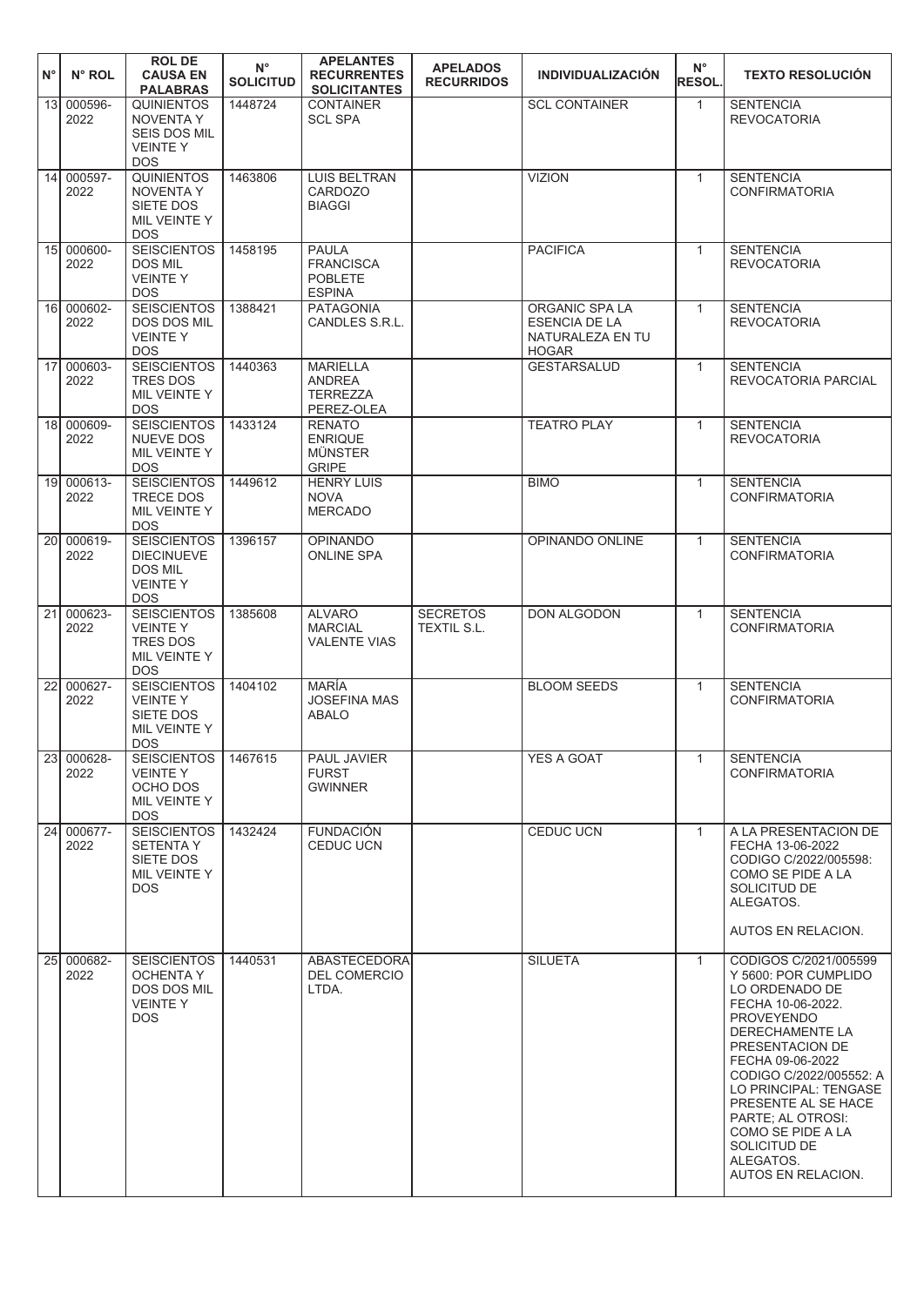| $N^{\circ}$     | $N^{\circ}$ ROL             | <b>ROLDE</b><br><b>CAUSA EN</b><br><b>PALABRAS</b>                                           | $N^{\circ}$<br><b>SOLICITUD</b> | <b>APELANTES</b><br><b>RECURRENTES</b><br><b>SOLICITANTES</b>       | <b>APELADOS</b><br><b>RECURRIDOS</b> | <b>INDIVIDUALIZACIÓN</b>                                                   | $N^{\circ}$<br><b>RESOL</b> | <b>TEXTO RESOLUCIÓN</b>                                                                                                                                                                                                                                                                                                                     |
|-----------------|-----------------------------|----------------------------------------------------------------------------------------------|---------------------------------|---------------------------------------------------------------------|--------------------------------------|----------------------------------------------------------------------------|-----------------------------|---------------------------------------------------------------------------------------------------------------------------------------------------------------------------------------------------------------------------------------------------------------------------------------------------------------------------------------------|
| 13 <sup>1</sup> | 000596-<br>2022             | <b>QUINIENTOS</b><br><b>NOVENTA Y</b><br><b>SEIS DOS MIL</b><br><b>VEINTEY</b><br><b>DOS</b> | 1448724                         | <b>CONTAINER</b><br><b>SCL SPA</b>                                  |                                      | <b>SCL CONTAINER</b>                                                       | $\mathbf{1}$                | <b>SENTENCIA</b><br><b>REVOCATORIA</b>                                                                                                                                                                                                                                                                                                      |
|                 | 14 000597-<br>2022          | <b>QUINIENTOS</b><br><b>NOVENTA Y</b><br>SIETE DOS<br>MIL VEINTE Y<br><b>DOS</b>             | 1463806                         | <b>LUIS BELTRAN</b><br>CARDOZO<br><b>BIAGGI</b>                     |                                      | <b>VIZION</b>                                                              | $\mathbf{1}$                | <b>SENTENCIA</b><br><b>CONFIRMATORIA</b>                                                                                                                                                                                                                                                                                                    |
|                 | 15 000600-<br>2022          | <b>SEISCIENTOS</b><br><b>DOS MIL</b><br><b>VEINTEY</b><br><b>DOS</b>                         | 1458195                         | <b>PAULA</b><br><b>FRANCISCA</b><br><b>POBLETE</b><br><b>ESPINA</b> |                                      | <b>PACIFICA</b>                                                            | $\mathbf{1}$                | <b>SENTENCIA</b><br><b>REVOCATORIA</b>                                                                                                                                                                                                                                                                                                      |
|                 | 16 000602-<br>2022          | <b>SEISCIENTOS</b><br>DOS DOS MIL<br><b>VEINTEY</b><br><b>DOS</b>                            | 1388421                         | <b>PATAGONIA</b><br>CANDLES S.R.L.                                  |                                      | ORGANIC SPA LA<br><b>ESENCIA DE LA</b><br>NATURALEZA EN TU<br><b>HOGAR</b> | $\mathbf{1}$                | <b>SENTENCIA</b><br><b>REVOCATORIA</b>                                                                                                                                                                                                                                                                                                      |
|                 | 17 000603-<br>2022          | <b>SEISCIENTOS</b><br><b>TRES DOS</b><br>MIL VEINTE Y<br><b>DOS</b>                          | 1440363                         | <b>MARIELLA</b><br><b>ANDREA</b><br><b>TERREZZA</b><br>PEREZ-OLEA   |                                      | <b>GESTARSALUD</b>                                                         | $\mathbf{1}$                | <b>SENTENCIA</b><br>REVOCATORIA PARCIAL                                                                                                                                                                                                                                                                                                     |
|                 | 18 000609-<br>2022          | <b>SEISCIENTOS</b><br><b>NUEVE DOS</b><br>MIL VEINTE Y<br><b>DOS</b>                         | 1433124                         | <b>RENATO</b><br><b>ENRIQUE</b><br><b>MÜNSTER</b><br><b>GRIPE</b>   |                                      | <b>TEATRO PLAY</b>                                                         | $\mathbf{1}$                | <b>SENTENCIA</b><br><b>REVOCATORIA</b>                                                                                                                                                                                                                                                                                                      |
|                 | 19 000613-<br>2022          | <b>SEISCIENTOS</b><br>TRECE DOS<br>MIL VEINTE Y<br><b>DOS</b>                                | 1449612                         | <b>HENRY LUIS</b><br><b>NOVA</b><br><b>MERCADO</b>                  |                                      | <b>BIMO</b>                                                                | $\mathbf{1}$                | <b>SENTENCIA</b><br><b>CONFIRMATORIA</b>                                                                                                                                                                                                                                                                                                    |
| 20l             | 000619-<br>2022             | <b>SEISCIENTOS</b><br><b>DIECINUEVE</b><br><b>DOS MIL</b><br><b>VEINTEY</b><br><b>DOS</b>    | 1396157                         | <b>OPINANDO</b><br><b>ONLINE SPA</b>                                |                                      | OPINANDO ONLINE                                                            | $\mathbf{1}$                | <b>SENTENCIA</b><br><b>CONFIRMATORIA</b>                                                                                                                                                                                                                                                                                                    |
|                 | $\sqrt{21}$ 000623-<br>2022 | <b>SEISCIENTOS</b><br><b>VEINTEY</b><br><b>TRES DOS</b><br>MIL VEINTE Y<br><b>DOS</b>        | 1385608                         | <b>ALVARO</b><br><b>MARCIAL</b><br><b>VALENTE VIAS</b>              | <b>SECRETOS</b><br>TEXTIL S.L.       | <b>DON ALGODON</b>                                                         | $\mathbf{1}$                | <b>SENTENCIA</b><br><b>CONFIRMATORIA</b>                                                                                                                                                                                                                                                                                                    |
|                 | 22 000627-<br>2022          | <b>SEISCIENTOS</b><br><b>VEINTEY</b><br>SIETE DOS<br>MIL VEINTE Y<br><b>DOS</b>              | 1404102                         | <b>MARÍA</b><br><b>JOSEFINA MAS</b><br><b>ABALO</b>                 |                                      | <b>BLOOM SEEDS</b>                                                         | $\mathbf{1}$                | <b>SENTENCIA</b><br><b>CONFIRMATORIA</b>                                                                                                                                                                                                                                                                                                    |
|                 | 23 000628-<br>2022          | <b>SEISCIENTOS</b><br><b>VEINTEY</b><br>OCHO DOS<br>MIL VEINTE Y<br><b>DOS</b>               | 1467615                         | PAUL JAVIER<br><b>FURST</b><br><b>GWINNER</b>                       |                                      | YES A GOAT                                                                 | $\mathbf{1}$                | <b>SENTENCIA</b><br><b>CONFIRMATORIA</b>                                                                                                                                                                                                                                                                                                    |
|                 | 24 000677-<br>2022          | <b>SEISCIENTOS</b><br><b>SETENTAY</b><br>SIETE DOS<br>MIL VEINTE Y<br><b>DOS</b>             | 1432424                         | <b>FUNDACIÓN</b><br>CEDUC UCN                                       |                                      | <b>CEDUC UCN</b>                                                           | $\mathbf{1}$                | A LA PRESENTACION DE<br>FECHA 13-06-2022<br>CODIGO C/2022/005598:<br>COMO SE PIDE A LA<br>SOLICITUD DE<br>ALEGATOS.<br>AUTOS EN RELACION.                                                                                                                                                                                                   |
|                 | 25 000682-<br>2022          | <b>SEISCIENTOS</b><br><b>OCHENTA Y</b><br><b>DOS DOS MIL</b><br><b>VEINTEY</b><br><b>DOS</b> | 1440531                         | <b>ABASTECEDORA</b><br><b>DEL COMERCIO</b><br>LTDA.                 |                                      | <b>SILUETA</b>                                                             | $\mathbf{1}$                | CODIGOS C/2021/005599<br>Y 5600: POR CUMPLIDO<br>LO ORDENADO DE<br>FECHA 10-06-2022.<br><b>PROVEYENDO</b><br>DERECHAMENTE LA<br>PRESENTACION DE<br>FECHA 09-06-2022<br>CODIGO C/2022/005552: A<br>LO PRINCIPAL: TENGASE<br>PRESENTE AL SE HACE<br>PARTE; AL OTROSI:<br>COMO SE PIDE A LA<br>SOLICITUD DE<br>ALEGATOS.<br>AUTOS EN RELACION. |